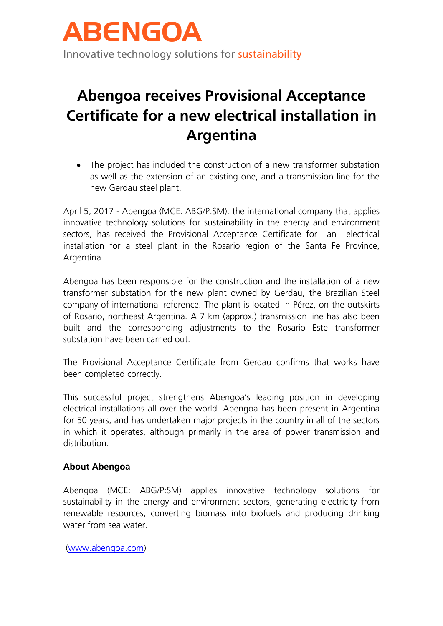

# **Abengoa receives Provisional Acceptance Certificate for a new electrical installation in Argentina**

• The project has included the construction of a new transformer substation as well as the extension of an existing one, and a transmission line for the new Gerdau steel plant.

April 5, 2017 - Abengoa (MCE: ABG/P:SM), the international company that applies innovative technology solutions for sustainability in the energy and environment sectors, has received the Provisional Acceptance Certificate for an electrical installation for a steel plant in the Rosario region of the Santa Fe Province, Argentina.

Abengoa has been responsible for the construction and the installation of a new transformer substation for the new plant owned by Gerdau, the Brazilian Steel company of international reference. The plant is located in Pérez, on the outskirts of Rosario, northeast Argentina. A 7 km (approx.) transmission line has also been built and the corresponding adjustments to the Rosario Este transformer substation have been carried out.

The Provisional Acceptance Certificate from Gerdau confirms that works have been completed correctly.

This successful project strengthens Abengoa's leading position in developing electrical installations all over the world. Abengoa has been present in Argentina for 50 years, and has undertaken major projects in the country in all of the sectors in which it operates, although primarily in the area of power transmission and distribution.

### **About Abengoa**

Abengoa (MCE: ABG/P:SM) applies innovative technology solutions for sustainability in the energy and environment sectors, generating electricity from renewable resources, converting biomass into biofuels and producing drinking water from sea water.

[\(www.abengoa.com\)](http://www.abengoa.com/)